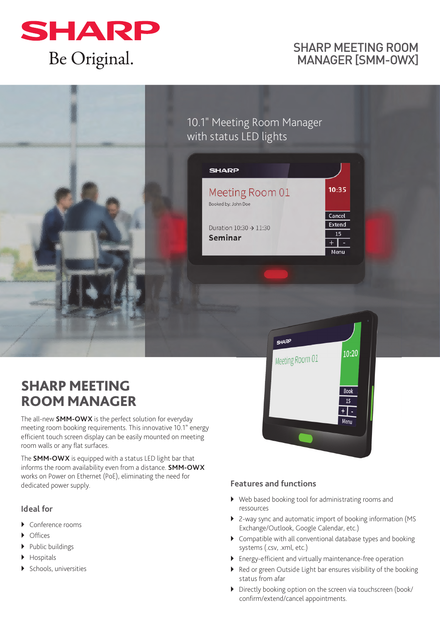

## SHARP MEETING ROOM MANAGER [SMM-OWX]

# 10.1" Meeting Room Manager with status LED lights

| <b>SHARP</b>                                         |                                       |
|------------------------------------------------------|---------------------------------------|
| Meeting Room 01<br>Booked by: John Doe               | 10:35                                 |
| Duration $10:30 \rightarrow 11:30$<br><b>Seminar</b> | Cancel<br><b>Extend</b><br>15<br>Menu |
|                                                      |                                       |

**SHARP** 

Meeting Room 01

# **SHARP MEETING ROOM MANAGER**

The all-new **SMM-OWX** is the perfect solution for everyday meeting room booking requirements. This innovative 10.1" energy efficient touch screen display can be easily mounted on meeting room walls or any flat surfaces.

The **SMM-OWX** is equipped with a status LED light bar that informs the room availability even from a distance. **SMM-OWX**  works on Power on Ethernet (PoE), eliminating the need for dedicated power supply.

### **Ideal for**

- ▶ Conference rooms
- **•** Offices
- $\blacktriangleright$  Public buildings
- Hospitals
- Schools, universities

### **Features and functions**

- Web based booking tool for administrating rooms and ressources
- 2-way sync and automatic import of booking information (MS Exchange/Outlook, Google Calendar, etc.)

 $10:20$ 

Book  $\overline{15}$  $+ \sqrt{2}$ Menu

- Compatible with all conventional database types and booking systems (.csv, .xml, etc.)
- Energy-efficient and virtually maintenance-free operation
- Red or green Outside Light bar ensures visibility of the booking status from afar
- Directly booking option on the screen via touchscreen (book/ confirm/extend/cancel appointments.